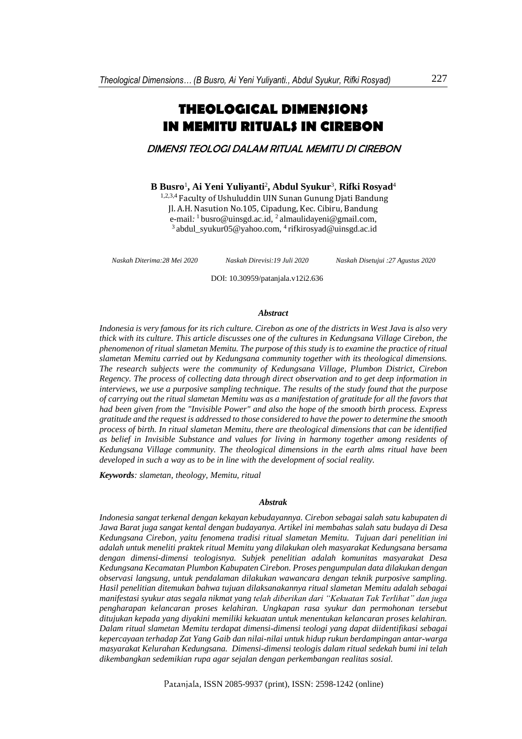# **THEOLOGICAL DIMENSIONS IN MEMITU RITUALS IN CIREBON**

DIMENSI TEOLOGI DALAM RITUAL MEMITU DI CIREBON

### **B Busro**<sup>1</sup> **, Ai Yeni Yuliyanti**<sup>2</sup> **, Abdul Syukur**<sup>3</sup> , **Rifki Rosyad**<sup>4</sup>

1,2,3,4 Faculty of Ushuluddin UIN Sunan Gunung Djati Bandung Jl. A.H. Nasution No.105, Cipadung, Kec. Cibiru, Bandung e-mail*:* <sup>1</sup> busro@uinsgd.ac.id, 2 almaulidayeni@gmail.com, <sup>3</sup> abdul\_syukur05@yahoo.com, <sup>4</sup> rifkirosyad@uinsgd.ac.id

*Naskah Diterima:28 Mei 2020 Naskah Direvisi:19 Juli 2020*

*Naskah Disetujui :27 Agustus 2020*

DOI: 10.30959/patanjala.v12i2.636

#### *Abstract*

*Indonesia is very famous for its rich culture. Cirebon as one of the districts in West Java is also very thick with its culture. This article discusses one of the cultures in Kedungsana Village Cirebon, the phenomenon of ritual slametan Memitu. The purpose of this study is to examine the practice of ritual slametan Memitu carried out by Kedungsana community together with its theological dimensions. The research subjects were the community of Kedungsana Village, Plumbon District, Cirebon Regency. The process of collecting data through direct observation and to get deep information in interviews, we use a purposive sampling technique. The results of the study found that the purpose of carrying out the ritual slametan Memitu was as a manifestation of gratitude for all the favors that had been given from the "Invisible Power" and also the hope of the smooth birth process. Express gratitude and the request is addressed to those considered to have the power to determine the smooth process of birth. In ritual slametan Memitu, there are theological dimensions that can be identified as belief in Invisible Substance and values for living in harmony together among residents of Kedungsana Village community. The theological dimensions in the earth alms ritual have been developed in such a way as to be in line with the development of social reality.*

*Keywords: slametan, theology, Memitu, ritual*

#### *Abstrak*

*Indonesia sangat terkenal dengan kekayan kebudayannya. Cirebon sebagai salah satu kabupaten di Jawa Barat juga sangat kental dengan budayanya. Artikel ini membahas salah satu budaya di Desa Kedungsana Cirebon, yaitu fenomena tradisi ritual slametan Memitu. Tujuan dari penelitian ini adalah untuk meneliti praktek ritual Memitu yang dilakukan oleh masyarakat Kedungsana bersama dengan dimensi-dimensi teologisnya. Subjek penelitian adalah komunitas masyarakat Desa Kedungsana Kecamatan Plumbon Kabupaten Cirebon. Proses pengumpulan data dilakukan dengan observasi langsung, untuk pendalaman dilakukan wawancara dengan teknik purposive sampling. Hasil penelitian ditemukan bahwa tujuan dilaksanakannya ritual slametan Memitu adalah sebagai manifestasi syukur atas segala nikmat yang telah diberikan dari "Kekuatan Tak Terlihat" dan juga pengharapan kelancaran proses kelahiran. Ungkapan rasa syukur dan permohonan tersebut ditujukan kepada yang diyakini memiliki kekuatan untuk menentukan kelancaran proses kelahiran. Dalam ritual slametan Memitu terdapat dimensi-dimensi teologi yang dapat diidentifikasi sebagai kepercayaan terhadap Zat Yang Gaib dan nilai-nilai untuk hidup rukun berdampingan antar-warga masyarakat Kelurahan Kedungsana. Dimensi-dimensi teologis dalam ritual sedekah bumi ini telah dikembangkan sedemikian rupa agar sejalan dengan perkembangan realitas sosial.*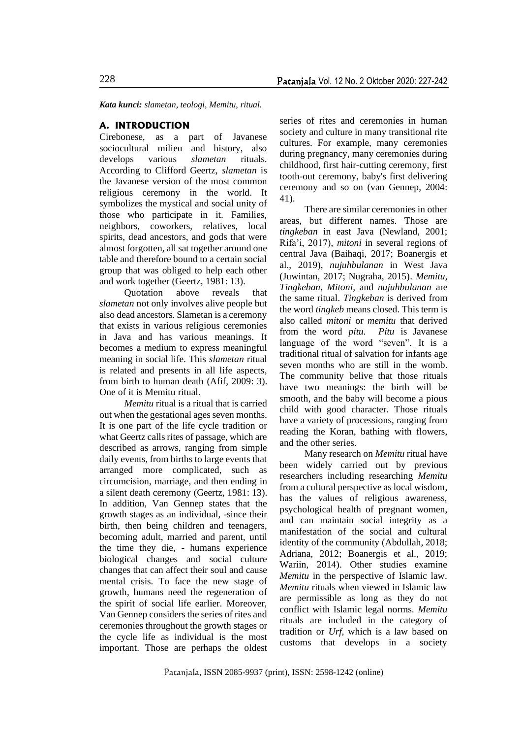*Kata kunci: slametan, teologi, Memitu, ritual.*

#### **A. INTRODUCTION**

Cirebonese, as a part of Javanese sociocultural milieu and history, also develops various *slametan* rituals. According to Clifford Geertz, *slametan* is the Javanese version of the most common religious ceremony in the world. It symbolizes the mystical and social unity of those who participate in it. Families, neighbors, coworkers, relatives, local spirits, dead ancestors, and gods that were almost forgotten, all sat together around one table and therefore bound to a certain social group that was obliged to help each other and work together (Geertz, 1981: 13).

Quotation above reveals that *slametan* not only involves alive people but also dead ancestors. Slametan is a ceremony that exists in various religious ceremonies in Java and has various meanings. It becomes a medium to express meaningful meaning in social life. This *slametan* ritual is related and presents in all life aspects, from birth to human death (Afif, 2009: 3). One of it is Memitu ritual.

*Memitu* ritual is a ritual that is carried out when the gestational ages seven months. It is one part of the life cycle tradition or what Geertz calls rites of passage, which are described as arrows, ranging from simple daily events, from births to large events that arranged more complicated, such as circumcision, marriage, and then ending in a silent death ceremony (Geertz, 1981: 13). In addition, Van Gennep states that the growth stages as an individual, -since their birth, then being children and teenagers, becoming adult, married and parent, until the time they die, - humans experience biological changes and social culture changes that can affect their soul and cause mental crisis. To face the new stage of growth, humans need the regeneration of the spirit of social life earlier. Moreover, Van Gennep considers the series of rites and ceremonies throughout the growth stages or the cycle life as individual is the most important. Those are perhaps the oldest series of rites and ceremonies in human society and culture in many transitional rite cultures. For example, many ceremonies during pregnancy, many ceremonies during childhood, first hair-cutting ceremony, first tooth-out ceremony, baby's first delivering ceremony and so on (van Gennep, 2004: 41).

There are similar ceremonies in other areas, but different names. Those are *tingkeban* in east Java (Newland, 2001; Rifa'i, 2017), *mitoni* in several regions of central Java (Baihaqi, 2017; Boanergis et al., 2019), *nujuhbulanan* in West Java (Juwintan, 2017; Nugraha, 2015). *Memitu, Tingkeban, Mitoni,* and *nujuhbulanan* are the same ritual. *Tingkeban* is derived from the word *tingkeb* means closed. This term is also called *mitoni* or *memitu* that derived from the word *pitu. Pitu* is Javanese language of the word "seven". It is a traditional ritual of salvation for infants age seven months who are still in the womb. The community belive that those rituals have two meanings: the birth will be smooth, and the baby will become a pious child with good character. Those rituals have a variety of processions, ranging from reading the Koran, bathing with flowers, and the other series.

Many research on *Memitu* ritual have been widely carried out by previous researchers including researching *Memitu* from a cultural perspective as local wisdom, has the values of religious awareness, psychological health of pregnant women, and can maintain social integrity as a manifestation of the social and cultural identity of the community (Abdullah, 2018; Adriana, 2012; Boanergis et al., 2019; Wariin, 2014). Other studies examine *Memitu* in the perspective of Islamic law. *Memitu* rituals when viewed in Islamic law are permissible as long as they do not conflict with Islamic legal norms. *Memitu* rituals are included in the category of tradition or *Urf*, which is a law based on customs that develops in a society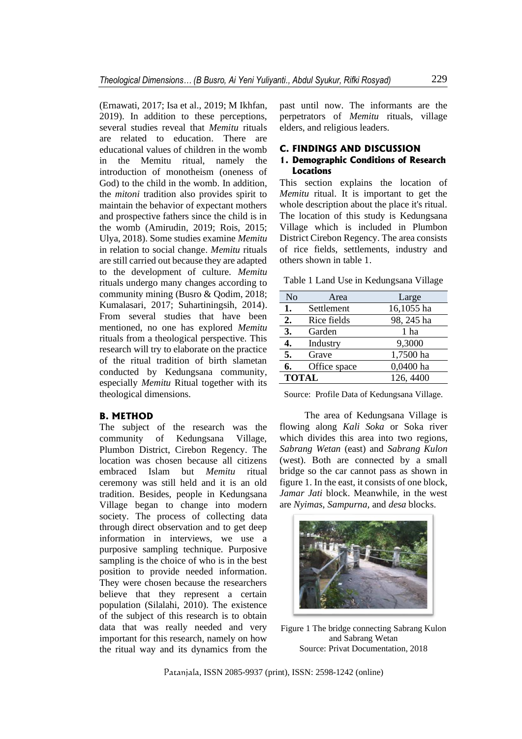(Ernawati, 2017; Isa et al., 2019; M Ikhfan, 2019). In addition to these perceptions, several studies reveal that *Memitu* rituals are related to education. There are educational values of children in the womb in the Memitu ritual, namely the introduction of monotheism (oneness of God) to the child in the womb. In addition, the *mitoni* tradition also provides spirit to maintain the behavior of expectant mothers and prospective fathers since the child is in the womb (Amirudin, 2019; Rois, 2015; Ulya, 2018). Some studies examine *Memitu* in relation to social change. *Memitu* rituals are still carried out because they are adapted to the development of culture. *Memitu*  rituals undergo many changes according to community mining (Busro & Qodim, 2018; Kumalasari, 2017; Suhartiningsih, 2014). From several studies that have been mentioned, no one has explored *Memitu* rituals from a theological perspective. This research will try to elaborate on the practice of the ritual tradition of birth slametan conducted by Kedungsana community, especially *Memitu* Ritual together with its theological dimensions.

#### **B. METHOD**

The subject of the research was the community of Kedungsana Village, Plumbon District, Cirebon Regency. The location was chosen because all citizens embraced Islam but *Memitu* ritual ceremony was still held and it is an old tradition. Besides, people in Kedungsana Village began to change into modern society. The process of collecting data through direct observation and to get deep information in interviews, we use a purposive sampling technique. Purposive sampling is the choice of who is in the best position to provide needed information. They were chosen because the researchers believe that they represent a certain population (Silalahi, 2010). The existence of the subject of this research is to obtain data that was really needed and very important for this research, namely on how the ritual way and its dynamics from the

past until now. The informants are the perpetrators of *Memitu* rituals, village elders, and religious leaders.

#### **C. FINDINGS AND DISCUSSION**

# **1. Demographic Conditions of Research Locations**

This section explains the location of *Memitu* ritual. It is important to get the whole description about the place it's ritual. The location of this study is Kedungsana Village which is included in Plumbon District Cirebon Regency. The area consists of rice fields, settlements, industry and others shown in table 1.

Table 1 Land Use in Kedungsana Village

| N <sub>o</sub> | Area         | Large      |
|----------------|--------------|------------|
| 1.             | Settlement   | 16,1055 ha |
| 2.             | Rice fields  | 98, 245 ha |
| 3.             | Garden       | 1 ha       |
| 4.             | Industry     | 9,3000     |
| 5.             | Grave        | 1,7500 ha  |
| 6.             | Office space | 0,0400 ha  |
| <b>TOTAL</b>   |              | 126, 4400  |

Source: Profile Data of Kedungsana Village.

The area of Kedungsana Village is flowing along *Kali Soka* or Soka river which divides this area into two regions, *Sabrang Wetan* (east) and *Sabrang Kulon* (west). Both are connected by a small bridge so the car cannot pass as shown in figure 1. In the east, it consists of one block, *Jamar Jati* block. Meanwhile, in the west are *Nyimas, Sampurna,* and *desa* blocks.



Figure 1 The bridge connecting Sabrang Kulon and Sabrang Wetan Source: Privat Documentation, 2018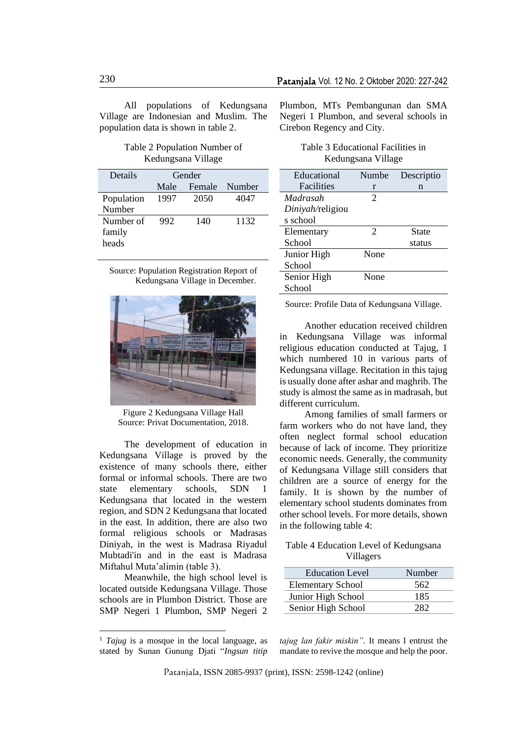All populations of Kedungsana Village are Indonesian and Muslim. The population data is shown in table 2.

#### Table 2 Population Number of Kedungsana Village

| Details    | Gender |        |        |
|------------|--------|--------|--------|
|            | Male   | Female | Number |
| Population | 1997   | 2050   | 4047   |
| Number     |        |        |        |
| Number of  | 992    | 140    | 1132   |
| family     |        |        |        |
| heads      |        |        |        |

Source: Population Registration Report of Kedungsana Village in December.



Figure 2 Kedungsana Village Hall Source: Privat Documentation, 2018.

The development of education in Kedungsana Village is proved by the existence of many schools there, either formal or informal schools. There are two state elementary schools, SDN 1 Kedungsana that located in the western region, and SDN 2 Kedungsana that located in the east. In addition, there are also two formal religious schools or Madrasas Diniyah, in the west is Madrasa Riyadul Mubtadi'in and in the east is Madrasa Miftahul Muta'alimin (table 3).

Meanwhile, the high school level is located outside Kedungsana Village. Those schools are in Plumbon District. Those are SMP Negeri 1 Plumbon, SMP Negeri 2 Plumbon, MTs Pembangunan dan SMA Negeri 1 Plumbon, and several schools in Cirebon Regency and City.

#### Table 3 Educational Facilities in Kedungsana Village

| Educational      | Numbe          | Descriptio |
|------------------|----------------|------------|
| Facilities       | r              | n          |
| Madrasah         | 2              |            |
| Diniyah/religiou |                |            |
| s school         |                |            |
| Elementary       | $\overline{2}$ | State      |
| School           |                | status     |
| Junior High      | None           |            |
| School           |                |            |
| Senior High      | None           |            |
| School           |                |            |

Source: Profile Data of Kedungsana Village.

Another education received children in Kedungsana Village was informal religious education conducted at Tajug, 1 which numbered 10 in various parts of Kedungsana village. Recitation in this tajug is usually done after ashar and maghrib. The study is almost the same as in madrasah, but different curriculum.

Among families of small farmers or farm workers who do not have land, they often neglect formal school education because of lack of income. They prioritize economic needs. Generally, the community of Kedungsana Village still considers that children are a source of energy for the family. It is shown by the number of elementary school students dominates from other school levels. For more details, shown in the following table 4:

### Table 4 Education Level of Kedungsana Villagers

| <b>Education Level</b>   | Number |
|--------------------------|--------|
| <b>Elementary School</b> | 562    |
| Junior High School       | 185    |
| Senior High School       | 282    |

*tajug lan fakir miskin"*. It means I entrust the mandate to revive the mosque and help the poor.

<sup>1</sup> *Tajug* is a mosque in the local language, as stated by Sunan Gunung Djati "*Ingsun titip*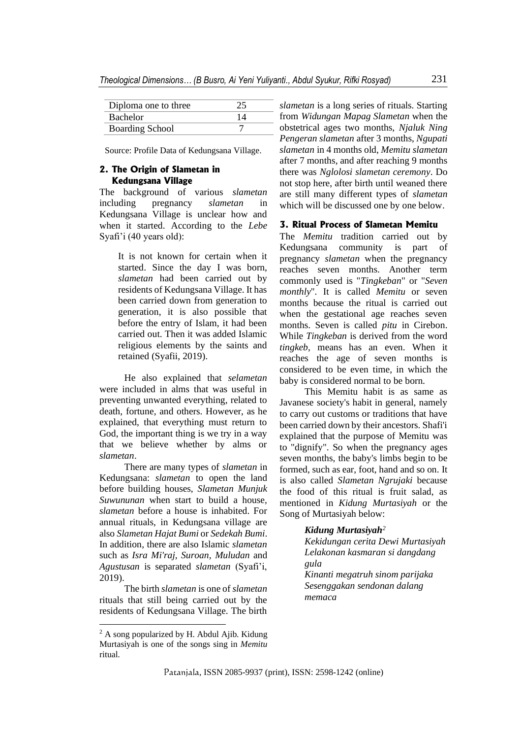| Diploma one to three   |    |
|------------------------|----|
| <b>Bachelor</b>        | 14 |
| <b>Boarding School</b> |    |

Source: Profile Data of Kedungsana Village.

### **2. The Origin of Slametan in Kedungsana Village**

The background of various *slametan* including pregnancy *slametan* in Kedungsana Village is unclear how and when it started. According to the *Lebe* Syafi'i (40 years old):

> It is not known for certain when it started. Since the day I was born, *slametan* had been carried out by residents of Kedungsana Village. It has been carried down from generation to generation, it is also possible that before the entry of Islam, it had been carried out. Then it was added Islamic religious elements by the saints and retained (Syafii, 2019).

He also explained that *selametan* were included in alms that was useful in preventing unwanted everything, related to death, fortune, and others. However, as he explained, that everything must return to God, the important thing is we try in a way that we believe whether by alms or *slametan*.

There are many types of *slametan* in Kedungsana: *slametan* to open the land before building houses, *Slametan Munjuk Suwununan* when start to build a house, *slametan* before a house is inhabited. For annual rituals, in Kedungsana village are also *Slametan Hajat Bumi* or *Sedekah Bumi*. In addition, there are also Islamic *slametan* such as *Isra Mi'raj, Suroan, Muludan* and *Agustusan* is separated *slametan* (Syafi'i, 2019).

The birth *slametan* is one of *slametan* rituals that still being carried out by the residents of Kedungsana Village. The birth *slametan* is a long series of rituals. Starting from *Widungan Mapag Slametan* when the obstetrical ages two months, *Njaluk Ning Pengeran slametan* after 3 months, *Ngupati slametan* in 4 months old, *Memitu slametan* after 7 months, and after reaching 9 months there was *Nglolosi slametan ceremony*. Do not stop here, after birth until weaned there are still many different types of *slametan* which will be discussed one by one below.

# **3. Ritual Process of Slametan Memitu**

The *Memitu* tradition carried out by Kedungsana community is part of pregnancy *slametan* when the pregnancy reaches seven months. Another term commonly used is "*Tingkeban*" or "*Seven monthly*". It is called *Memitu* or seven months because the ritual is carried out when the gestational age reaches seven months. Seven is called *pitu* in Cirebon. While *Tingkeban* is derived from the word *tingkeb*, means has an even. When it reaches the age of seven months is considered to be even time, in which the baby is considered normal to be born.

This Memitu habit is as same as Javanese society's habit in general, namely to carry out customs or traditions that have been carried down by their ancestors. Shafi'i explained that the purpose of Memitu was to "dignify". So when the pregnancy ages seven months, the baby's limbs begin to be formed, such as ear, foot, hand and so on. It is also called *Slametan Ngrujaki* because the food of this ritual is fruit salad, as mentioned in *Kidung Murtasiyah* or the Song of Murtasiyah below:

#### *Kidung Murtasiyah<sup>2</sup>*

*Kekidungan cerita Dewi Murtasiyah Lelakonan kasmaran si dangdang gula Kinanti megatruh sinom parijaka Sesenggakan sendonan dalang memaca*

<sup>&</sup>lt;sup>2</sup> A song popularized by H. Abdul Ajib. Kidung Murtasiyah is one of the songs sing in *Memitu* ritual*.*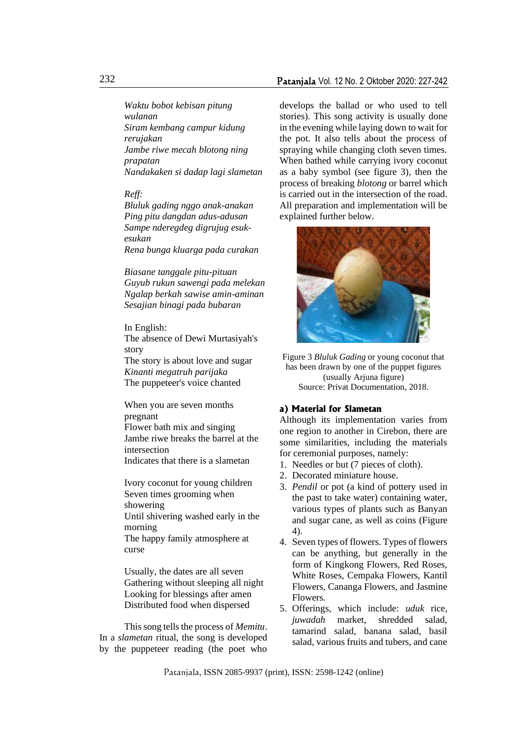*Waktu bobot kebisan pitung wulanan Siram kembang campur kidung rerujakan Jambe riwe mecah blotong ning prapatan Nandakaken si dadap lagi slametan*

#### *Reff:*

*Bluluk gading nggo anak-anakan Ping pitu dangdan adus-adusan Sampe nderegdeg digrujug esukesukan Rena bunga kluarga pada curakan*

*Biasane tanggale pitu-pituan Guyub rukun sawengi pada melekan Ngalap berkah sawise amin-aminan Sesajian binagi pada bubaran*

In English: The absence of Dewi Murtasiyah's story The story is about love and sugar *Kinanti megatruh parijaka* The puppeteer's voice chanted

When you are seven months pregnant Flower bath mix and singing Jambe riwe breaks the barrel at the intersection Indicates that there is a slametan

Ivory coconut for young children Seven times grooming when showering Until shivering washed early in the morning

The happy family atmosphere at curse

Usually, the dates are all seven Gathering without sleeping all night Looking for blessings after amen Distributed food when dispersed

This song tells the process of *Memitu*. In a *slametan* ritual, the song is developed by the puppeteer reading (the poet who

develops the ballad or who used to tell stories). This song activity is usually done in the evening while laying down to wait for the pot. It also tells about the process of spraying while changing cloth seven times. When bathed while carrying ivory coconut as a baby symbol (see figure 3), then the process of breaking *blotong* or barrel which is carried out in the intersection of the road. All preparation and implementation will be explained further below.



Figure 3 *Bluluk Gading* or young coconut that has been drawn by one of the puppet figures (usually Arjuna figure) Source: Privat Documentation, 2018.

### **a) Material for Slametan**

Although its implementation varies from one region to another in Cirebon, there are some similarities, including the materials for ceremonial purposes, namely:

- 1. Needles or but (7 pieces of cloth).
- 2. Decorated miniature house.
- 3. *Pendil* or pot (a kind of pottery used in the past to take water) containing water, various types of plants such as Banyan and sugar cane, as well as coins (Figure 4).
- 4. Seven types of flowers. Types of flowers can be anything, but generally in the form of Kingkong Flowers, Red Roses, White Roses, Cempaka Flowers, Kantil Flowers, Cananga Flowers, and Jasmine Flowers.
- 5. Offerings, which include: *uduk* rice, *juwadah* market, shredded salad, tamarind salad, banana salad, basil salad, various fruits and tubers, and cane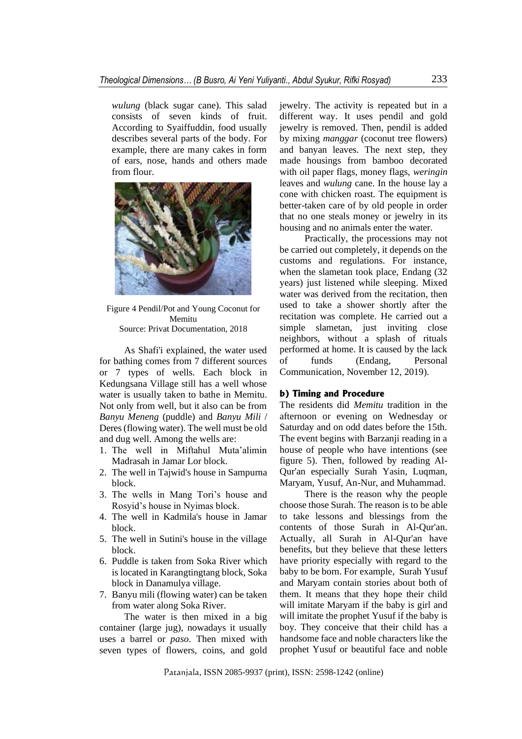*wulung* (black sugar cane). This salad consists of seven kinds of fruit. According to Syaiffuddin, food usually describes several parts of the body. For example, there are many cakes in form of ears, nose, hands and others made from flour.



#### Figure 4 Pendil/Pot and Young Coconut for Memitu Source: Privat Documentation, 2018

As Shafi'i explained, the water used for bathing comes from 7 different sources or 7 types of wells. Each block in Kedungsana Village still has a well whose water is usually taken to bathe in Memitu. Not only from well, but it also can be from *Banyu Meneng* (puddle) and *Banyu Mili* / Deres (flowing water). The well must be old and dug well. Among the wells are:

- 1. The well in Miftahul Muta'alimin Madrasah in Jamar Lor block.
- 2. The well in Tajwid's house in Sampurna block.
- 3. The wells in Mang Tori's house and Rosyid's house in Nyimas block.
- 4. The well in Kadmila's house in Jamar block.
- 5. The well in Sutini's house in the village block.
- 6. Puddle is taken from Soka River which is located in Karangtingtang block, Soka block in Danamulya village.
- 7. Banyu mili (flowing water) can be taken from water along Soka River.

The water is then mixed in a big container (large jug), nowadays it usually uses a barrel or *paso*. Then mixed with seven types of flowers, coins, and gold

jewelry. The activity is repeated but in a different way. It uses pendil and gold jewelry is removed. Then, pendil is added by mixing *manggar* (coconut tree flowers) and banyan leaves. The next step, they made housings from bamboo decorated with oil paper flags, money flags, *weringin* leaves and *wulung* cane. In the house lay a cone with chicken roast. The equipment is better-taken care of by old people in order that no one steals money or jewelry in its housing and no animals enter the water.

Practically, the processions may not be carried out completely, it depends on the customs and regulations. For instance, when the slametan took place, Endang (32 years) just listened while sleeping. Mixed water was derived from the recitation, then used to take a shower shortly after the recitation was complete. He carried out a simple slametan, just inviting close neighbors, without a splash of rituals performed at home. It is caused by the lack of funds (Endang, Personal Communication, November 12, 2019).

#### **b) Timing and Procedure**

The residents did *Memitu* tradition in the afternoon or evening on Wednesday or Saturday and on odd dates before the 15th. The event begins with Barzanji reading in a house of people who have intentions (see figure 5). Then, followed by reading Al-Qur'an especially Surah Yasin, Luqman, Maryam, Yusuf, An-Nur, and Muhammad.

There is the reason why the people choose those Surah. The reason is to be able to take lessons and blessings from the contents of those Surah in Al-Qur'an. Actually, all Surah in Al-Qur'an have benefits, but they believe that these letters have priority especially with regard to the baby to be born. For example, Surah Yusuf and Maryam contain stories about both of them. It means that they hope their child will imitate Maryam if the baby is girl and will imitate the prophet Yusuf if the baby is boy. They conceive that their child has a handsome face and noble characters like the prophet Yusuf or beautiful face and noble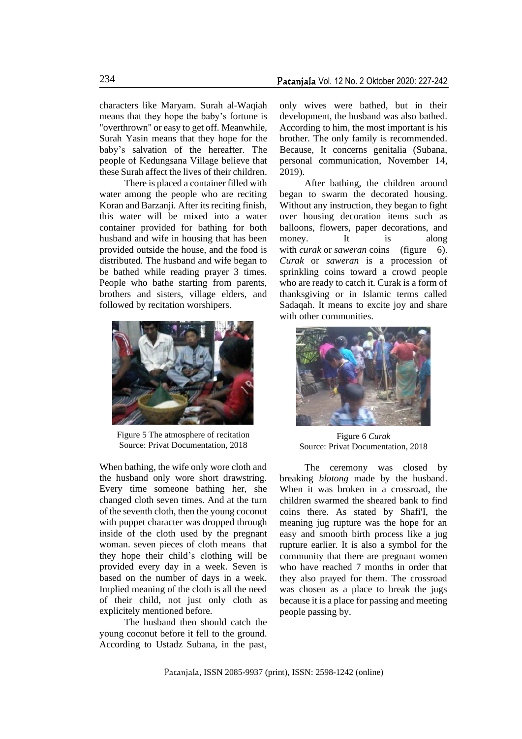characters like Maryam. Surah al-Waqiah means that they hope the baby's fortune is "overthrown" or easy to get off. Meanwhile, Surah Yasin means that they hope for the baby's salvation of the hereafter. The people of Kedungsana Village believe that these Surah affect the lives of their children.

There is placed a container filled with water among the people who are reciting Koran and Barzanji. After its reciting finish, this water will be mixed into a water container provided for bathing for both husband and wife in housing that has been provided outside the house, and the food is distributed. The husband and wife began to be bathed while reading prayer 3 times. People who bathe starting from parents, brothers and sisters, village elders, and followed by recitation worshipers.



Figure 5 The atmosphere of recitation Source: Privat Documentation, 2018

When bathing, the wife only wore cloth and the husband only wore short drawstring. Every time someone bathing her, she changed cloth seven times. And at the turn of the seventh cloth, then the young coconut with puppet character was dropped through inside of the cloth used by the pregnant woman. seven pieces of cloth means that they hope their child's clothing will be provided every day in a week. Seven is based on the number of days in a week. Implied meaning of the cloth is all the need of their child, not just only cloth as explicitely mentioned before.

The husband then should catch the young coconut before it fell to the ground. According to Ustadz Subana, in the past,

only wives were bathed, but in their development, the husband was also bathed. According to him, the most important is his brother. The only family is recommended. Because, It concerns genitalia (Subana, personal communication, November 14, 2019).

After bathing, the children around began to swarm the decorated housing. Without any instruction, they began to fight over housing decoration items such as balloons, flowers, paper decorations, and money. It is along with *curak* or *saweran* coins (figure 6). *Curak* or *saweran* is a procession of sprinkling coins toward a crowd people who are ready to catch it. Curak is a form of thanksgiving or in Islamic terms called Sadaqah. It means to excite joy and share with other communities.



Figure 6 *Curak* Source: Privat Documentation, 2018

The ceremony was closed by breaking *blotong* made by the husband. When it was broken in a crossroad, the children swarmed the sheared bank to find coins there. As stated by Shafi'I, the meaning jug rupture was the hope for an easy and smooth birth process like a jug rupture earlier. It is also a symbol for the community that there are pregnant women who have reached 7 months in order that they also prayed for them. The crossroad was chosen as a place to break the jugs because it is a place for passing and meeting people passing by.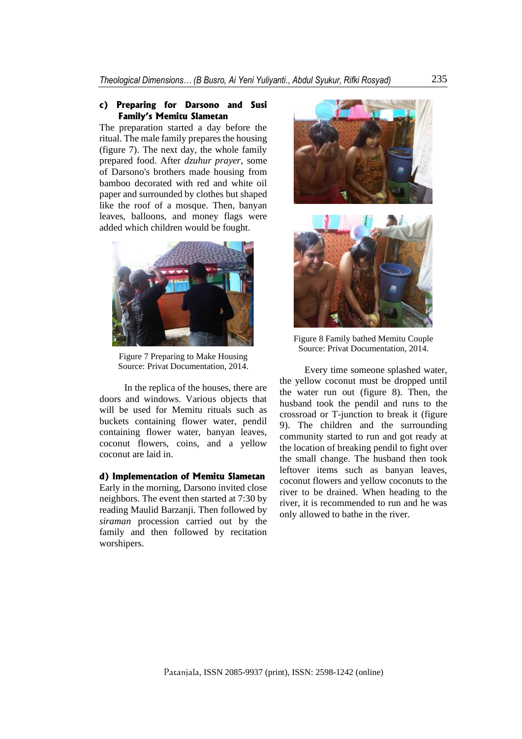#### **c) Preparing for Darsono and Susi Family's Memitu Slametan**

The preparation started a day before the ritual. The male family prepares the housing (figure 7). The next day, the whole family prepared food. After *dzuhur prayer*, some of Darsono's brothers made housing from bamboo decorated with red and white oil paper and surrounded by clothes but shaped like the roof of a mosque. Then, banyan leaves, balloons, and money flags were added which children would be fought.



Figure 7 Preparing to Make Housing Source: Privat Documentation, 2014.

In the replica of the houses, there are doors and windows. Various objects that will be used for Memitu rituals such as buckets containing flower water, pendil containing flower water, banyan leaves, coconut flowers, coins, and a yellow coconut are laid in.

# **d) Implementation of Memitu Slametan**

Early in the morning, Darsono invited close neighbors. The event then started at 7:30 by reading Maulid Barzanji. Then followed by *siraman* procession carried out by the family and then followed by recitation worshipers.





Figure 8 Family bathed Memitu Couple Source: Privat Documentation, 2014.

Every time someone splashed water, the yellow coconut must be dropped until the water run out (figure 8). Then, the husband took the pendil and runs to the crossroad or T-junction to break it (figure 9). The children and the surrounding community started to run and got ready at the location of breaking pendil to fight over the small change. The husband then took leftover items such as banyan leaves, coconut flowers and yellow coconuts to the river to be drained. When heading to the river, it is recommended to run and he was only allowed to bathe in the river.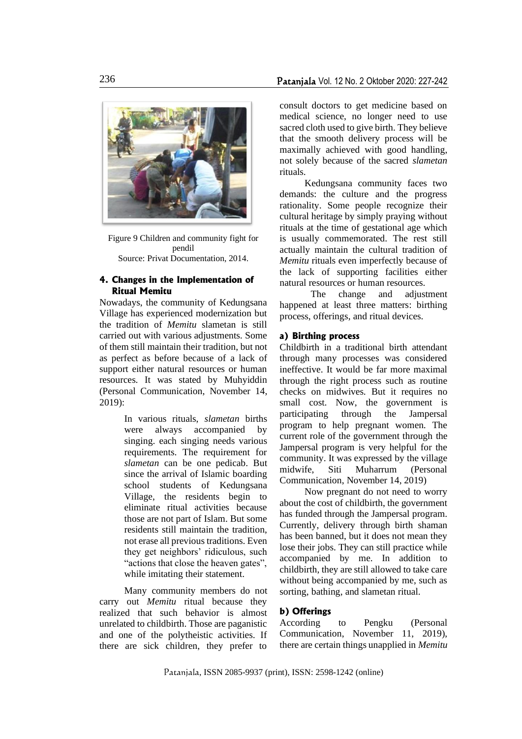

Figure 9 Children and community fight for pendil Source: Privat Documentation, 2014.

# **4. Changes in the Implementation of Ritual Memitu**

Nowadays, the community of Kedungsana Village has experienced modernization but the tradition of *Memitu* slametan is still carried out with various adjustments. Some of them still maintain their tradition, but not as perfect as before because of a lack of support either natural resources or human resources. It was stated by Muhyiddin (Personal Communication, November 14,  $2019$ 

> In various rituals, *slametan* births were always accompanied by singing. each singing needs various requirements. The requirement for *slametan* can be one pedicab. But since the arrival of Islamic boarding school students of Kedungsana Village, the residents begin to eliminate ritual activities because those are not part of Islam. But some residents still maintain the tradition, not erase all previous traditions. Even they get neighbors' ridiculous, such "actions that close the heaven gates", while imitating their statement.

Many community members do not carry out *Memitu* ritual because they realized that such behavior is almost unrelated to childbirth. Those are paganistic and one of the polytheistic activities. If there are sick children, they prefer to

consult doctors to get medicine based on medical science, no longer need to use sacred cloth used to give birth. They believe that the smooth delivery process will be maximally achieved with good handling, not solely because of the sacred *slametan* rituals.

Kedungsana community faces two demands: the culture and the progress rationality. Some people recognize their cultural heritage by simply praying without rituals at the time of gestational age which is usually commemorated. The rest still actually maintain the cultural tradition of *Memitu* rituals even imperfectly because of the lack of supporting facilities either natural resources or human resources.

The change and adjustment happened at least three matters: birthing process, offerings, and ritual devices.

### **a) Birthing process**

Childbirth in a traditional birth attendant through many processes was considered ineffective. It would be far more maximal through the right process such as routine checks on midwives. But it requires no small cost. Now, the government is participating through the Jampersal program to help pregnant women. The current role of the government through the Jampersal program is very helpful for the community. It was expressed by the village midwife, Siti Muharrum (Personal Communication, November 14, 2019)

Now pregnant do not need to worry about the cost of childbirth, the government has funded through the Jampersal program. Currently, delivery through birth shaman has been banned, but it does not mean they lose their jobs. They can still practice while accompanied by me. In addition to childbirth, they are still allowed to take care without being accompanied by me, such as sorting, bathing, and slametan ritual.

## **b) Offerings**

According to Pengku (Personal Communication, November 11, 2019), there are certain things unapplied in *Memitu*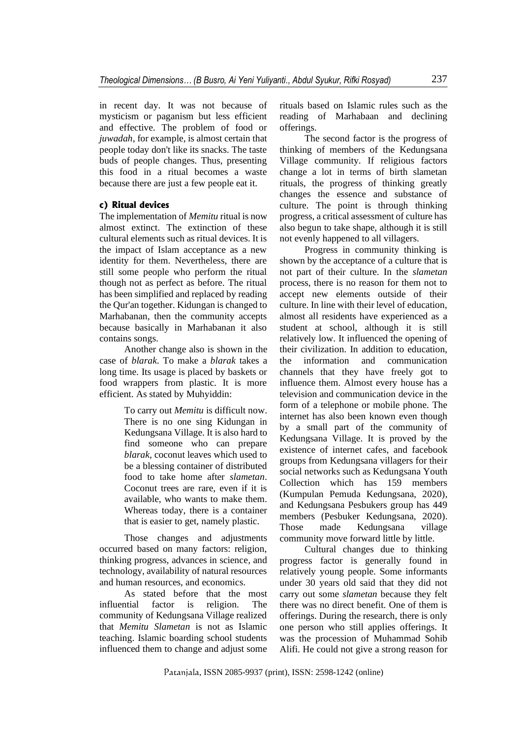in recent day. It was not because of mysticism or paganism but less efficient and effective. The problem of food or *juwadah*, for example, is almost certain that people today don't like its snacks. The taste buds of people changes. Thus, presenting this food in a ritual becomes a waste because there are just a few people eat it.

### **c) Ritual devices**

The implementation of *Memitu* ritual is now almost extinct. The extinction of these cultural elements such as ritual devices. It is the impact of Islam acceptance as a new identity for them. Nevertheless, there are still some people who perform the ritual though not as perfect as before. The ritual has been simplified and replaced by reading the Qur'an together. Kidungan is changed to Marhabanan, then the community accepts because basically in Marhabanan it also contains songs.

Another change also is shown in the case of *blarak*. To make a *blarak* takes a long time. Its usage is placed by baskets or food wrappers from plastic. It is more efficient. As stated by Muhyiddin:

> To carry out *Memitu* is difficult now. There is no one sing Kidungan in Kedungsana Village. It is also hard to find someone who can prepare *blarak,* coconut leaves which used to be a blessing container of distributed food to take home after *slametan*. Coconut trees are rare, even if it is available, who wants to make them. Whereas today, there is a container that is easier to get, namely plastic.

Those changes and adjustments occurred based on many factors: religion, thinking progress, advances in science, and technology, availability of natural resources and human resources, and economics.

As stated before that the most influential factor is religion. The community of Kedungsana Village realized that *Memitu Slametan* is not as Islamic teaching. Islamic boarding school students influenced them to change and adjust some rituals based on Islamic rules such as the reading of Marhabaan and declining offerings.

The second factor is the progress of thinking of members of the Kedungsana Village community. If religious factors change a lot in terms of birth slametan rituals, the progress of thinking greatly changes the essence and substance of culture. The point is through thinking progress, a critical assessment of culture has also begun to take shape, although it is still not evenly happened to all villagers.

Progress in community thinking is shown by the acceptance of a culture that is not part of their culture. In the *slametan*  process, there is no reason for them not to accept new elements outside of their culture. In line with their level of education, almost all residents have experienced as a student at school, although it is still relatively low. It influenced the opening of their civilization. In addition to education, the information and communication channels that they have freely got to influence them. Almost every house has a television and communication device in the form of a telephone or mobile phone. The internet has also been known even though by a small part of the community of Kedungsana Village. It is proved by the existence of internet cafes, and facebook groups from Kedungsana villagers for their social networks such as Kedungsana Youth Collection which has 159 members (Kumpulan Pemuda Kedungsana, 2020), and Kedungsana Pesbukers group has 449 members (Pesbuker Kedungsana, 2020). Those made Kedungsana village community move forward little by little.

Cultural changes due to thinking progress factor is generally found in relatively young people. Some informants under 30 years old said that they did not carry out some *slametan* because they felt there was no direct benefit. One of them is offerings. During the research, there is only one person who still applies offerings. It was the procession of Muhammad Sohib Alifi. He could not give a strong reason for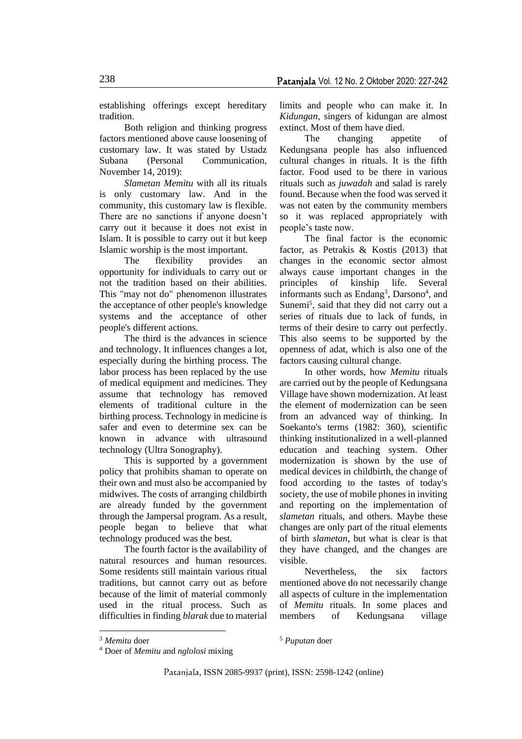establishing offerings except hereditary tradition.

Both religion and thinking progress factors mentioned above cause loosening of customary law. It was stated by Ustadz Subana (Personal Communication, November 14, 2019):

*Slametan Memitu* with all its rituals is only customary law. And in the community, this customary law is flexible. There are no sanctions if anyone doesn't carry out it because it does not exist in Islam. It is possible to carry out it but keep Islamic worship is the most important.

The flexibility provides an opportunity for individuals to carry out or not the tradition based on their abilities. This "may not do" phenomenon illustrates the acceptance of other people's knowledge systems and the acceptance of other people's different actions.

The third is the advances in science and technology. It influences changes a lot, especially during the birthing process. The labor process has been replaced by the use of medical equipment and medicines. They assume that technology has removed elements of traditional culture in the birthing process. Technology in medicine is safer and even to determine sex can be known in advance with ultrasound technology (Ultra Sonography).

This is supported by a government policy that prohibits shaman to operate on their own and must also be accompanied by midwives. The costs of arranging childbirth are already funded by the government through the Jampersal program. As a result, people began to believe that what technology produced was the best.

The fourth factor is the availability of natural resources and human resources. Some residents still maintain various ritual traditions, but cannot carry out as before because of the limit of material commonly used in the ritual process. Such as difficulties in finding *blarak* due to material

limits and people who can make it. In *Kidungan*, singers of kidungan are almost extinct. Most of them have died.

The changing appetite of Kedungsana people has also influenced cultural changes in rituals. It is the fifth factor. Food used to be there in various rituals such as *juwadah* and salad is rarely found. Because when the food was served it was not eaten by the community members so it was replaced appropriately with people's taste now.

The final factor is the economic factor, as Petrakis & Kostis (2013) that changes in the economic sector almost always cause important changes in the principles of kinship life. Several informants such as Endang<sup>3</sup>, Darsono<sup>4</sup>, and Sunemi<sup>5</sup>, said that they did not carry out a series of rituals due to lack of funds, in terms of their desire to carry out perfectly. This also seems to be supported by the openness of adat, which is also one of the factors causing cultural change.

In other words, how *Memitu* rituals are carried out by the people of Kedungsana Village have shown modernization. At least the element of modernization can be seen from an advanced way of thinking. In Soekanto's terms (1982: 360), scientific thinking institutionalized in a well-planned education and teaching system. Other modernization is shown by the use of medical devices in childbirth, the change of food according to the tastes of today's society, the use of mobile phones in inviting and reporting on the implementation of *slametan* rituals, and others. Maybe these changes are only part of the ritual elements of birth *slametan*, but what is clear is that they have changed, and the changes are visible.

Nevertheless, the six factors mentioned above do not necessarily change all aspects of culture in the implementation of *Memitu* rituals. In some places and members of Kedungsana village

<sup>3</sup> *Memitu* doer

<sup>5</sup> *Puputan* doer

<sup>4</sup> Doer of *Memitu* and *nglolosi* mixing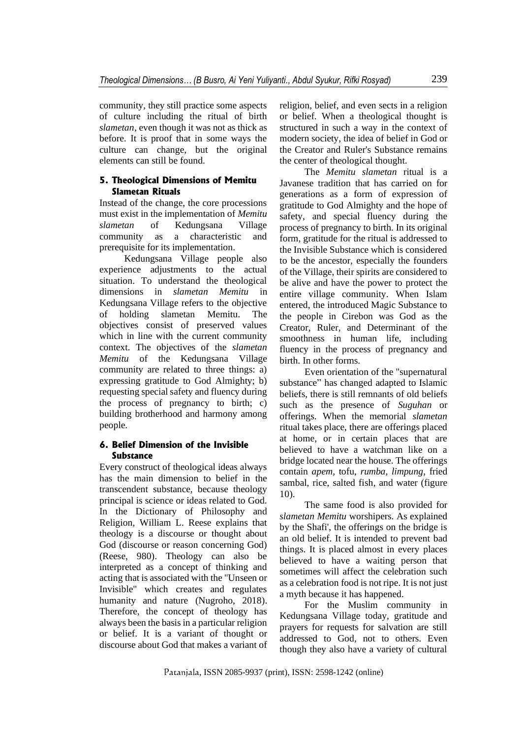community, they still practice some aspects of culture including the ritual of birth *slametan*, even though it was not as thick as before. It is proof that in some ways the culture can change, but the original elements can still be found.

# **5. Theological Dimensions of Memitu Slametan Rituals**

Instead of the change, the core processions must exist in the implementation of *Memitu slametan* of Kedungsana Village community as a characteristic and prerequisite for its implementation.

Kedungsana Village people also experience adjustments to the actual situation. To understand the theological dimensions in *slametan Memitu* in Kedungsana Village refers to the objective of holding slametan Memitu. The objectives consist of preserved values which in line with the current community context. The objectives of the *slametan Memitu* of the Kedungsana Village community are related to three things: a) expressing gratitude to God Almighty; b) requesting special safety and fluency during the process of pregnancy to birth; c) building brotherhood and harmony among people.

# **6. Belief Dimension of the Invisible Substance**

Every construct of theological ideas always has the main dimension to belief in the transcendent substance, because theology principal is science or ideas related to God. In the Dictionary of Philosophy and Religion, William L. Reese explains that theology is a discourse or thought about God (discourse or reason concerning God) (Reese, 980). Theology can also be interpreted as a concept of thinking and acting that is associated with the "Unseen or Invisible" which creates and regulates humanity and nature (Nugroho, 2018). Therefore, the concept of theology has always been the basis in a particular religion or belief. It is a variant of thought or discourse about God that makes a variant of

religion, belief, and even sects in a religion or belief. When a theological thought is structured in such a way in the context of modern society, the idea of belief in God or the Creator and Ruler's Substance remains the center of theological thought.

The *Memitu slametan* ritual is a Javanese tradition that has carried on for generations as a form of expression of gratitude to God Almighty and the hope of safety, and special fluency during the process of pregnancy to birth. In its original form, gratitude for the ritual is addressed to the Invisible Substance which is considered to be the ancestor, especially the founders of the Village, their spirits are considered to be alive and have the power to protect the entire village community. When Islam entered, the introduced Magic Substance to the people in Cirebon was God as the Creator, Ruler, and Determinant of the smoothness in human life, including fluency in the process of pregnancy and birth. In other forms.

Even orientation of the "supernatural substance" has changed adapted to Islamic beliefs, there is still remnants of old beliefs such as the presence of *Suguhan* or offerings. When the memorial *slametan* ritual takes place, there are offerings placed at home, or in certain places that are believed to have a watchman like on a bridge located near the house. The offerings contain *apem*, tofu, *rumba, limpung*, fried sambal, rice, salted fish, and water (figure 10).

The same food is also provided for *slametan Memitu* worshipers. As explained by the Shafi', the offerings on the bridge is an old belief. It is intended to prevent bad things. It is placed almost in every places believed to have a waiting person that sometimes will affect the celebration such as a celebration food is not ripe. It is not just a myth because it has happened.

For the Muslim community in Kedungsana Village today, gratitude and prayers for requests for salvation are still addressed to God, not to others. Even though they also have a variety of cultural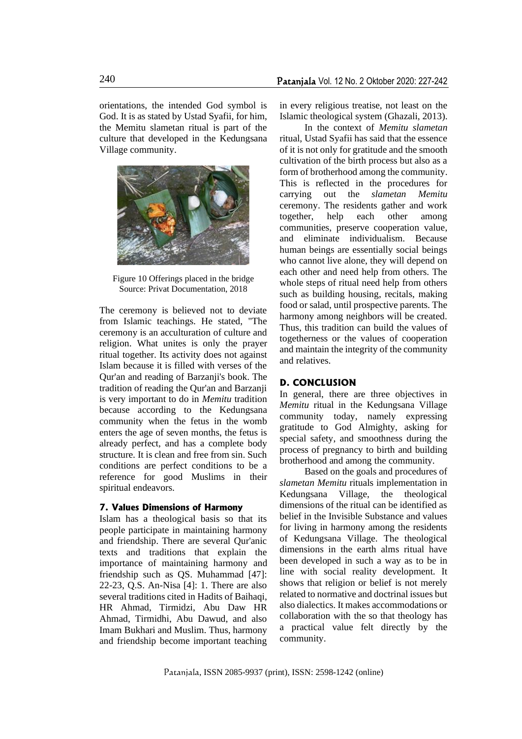orientations, the intended God symbol is God. It is as stated by Ustad Syafii, for him, the Memitu slametan ritual is part of the culture that developed in the Kedungsana Village community.



Figure 10 Offerings placed in the bridge Source: Privat Documentation, 2018

The ceremony is believed not to deviate from Islamic teachings. He stated, "The ceremony is an acculturation of culture and religion. What unites is only the prayer ritual together. Its activity does not against Islam because it is filled with verses of the Qur'an and reading of Barzanji's book. The tradition of reading the Qur'an and Barzanji is very important to do in *Memitu* tradition because according to the Kedungsana community when the fetus in the womb enters the age of seven months, the fetus is already perfect, and has a complete body structure. It is clean and free from sin. Such conditions are perfect conditions to be a reference for good Muslims in their spiritual endeavors.

#### **7. Values Dimensions of Harmony**

Islam has a theological basis so that its people participate in maintaining harmony and friendship. There are several Qur'anic texts and traditions that explain the importance of maintaining harmony and friendship such as QS. Muhammad [47]: 22-23, Q.S. An-Nisa [4]: 1. There are also several traditions cited in Hadits of Baihaqi. HR Ahmad, Tirmidzi, Abu Daw HR Ahmad, Tirmidhi, Abu Dawud, and also Imam Bukhari and Muslim. Thus, harmony and friendship become important teaching in every religious treatise, not least on the Islamic theological system (Ghazali, 2013).

In the context of *Memitu slametan* ritual, Ustad Syafii has said that the essence of it is not only for gratitude and the smooth cultivation of the birth process but also as a form of brotherhood among the community. This is reflected in the procedures for carrying out the *slametan Memitu* ceremony. The residents gather and work together, help each other among communities, preserve cooperation value, and eliminate individualism. Because human beings are essentially social beings who cannot live alone, they will depend on each other and need help from others. The whole steps of ritual need help from others such as building housing, recitals, making food or salad, until prospective parents. The harmony among neighbors will be created. Thus, this tradition can build the values of togetherness or the values of cooperation and maintain the integrity of the community and relatives.

### **D. CONCLUSION**

In general, there are three objectives in *Memitu* ritual in the Kedungsana Village community today, namely expressing gratitude to God Almighty, asking for special safety, and smoothness during the process of pregnancy to birth and building brotherhood and among the community.

Based on the goals and procedures of *slametan Memitu* rituals implementation in Kedungsana Village, the theological dimensions of the ritual can be identified as belief in the Invisible Substance and values for living in harmony among the residents of Kedungsana Village. The theological dimensions in the earth alms ritual have been developed in such a way as to be in line with social reality development. It shows that religion or belief is not merely related to normative and doctrinal issues but also dialectics. It makes accommodations or collaboration with the so that theology has a practical value felt directly by the community.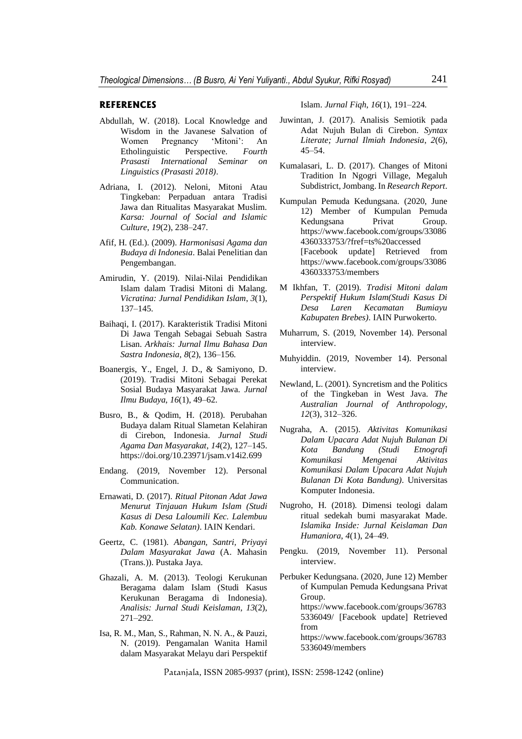#### **REFERENCES**

- Abdullah, W. (2018). Local Knowledge and Wisdom in the Javanese Salvation of Women Pregnancy 'Mitoni': An Etholinguistic Perspective. *Fourth Prasasti International Seminar on Linguistics (Prasasti 2018)*.
- Adriana, I. (2012). Neloni, Mitoni Atau Tingkeban: Perpaduan antara Tradisi Jawa dan Ritualitas Masyarakat Muslim. *Karsa: Journal of Social and Islamic Culture*, *19*(2), 238–247.
- Afif, H. (Ed.). (2009). *Harmonisasi Agama dan Budaya di Indonesia*. Balai Penelitian dan Pengembangan.
- Amirudin, Y. (2019). Nilai-Nilai Pendidikan Islam dalam Tradisi Mitoni di Malang. *Vicratina: Jurnal Pendidikan Islam*, *3*(1), 137–145.
- Baihaqi, I. (2017). Karakteristik Tradisi Mitoni Di Jawa Tengah Sebagai Sebuah Sastra Lisan. *Arkhais: Jurnal Ilmu Bahasa Dan Sastra Indonesia*, *8*(2), 136–156.
- Boanergis, Y., Engel, J. D., & Samiyono, D. (2019). Tradisi Mitoni Sebagai Perekat Sosial Budaya Masyarakat Jawa. *Jurnal Ilmu Budaya*, *16*(1), 49–62.
- Busro, B., & Qodim, H. (2018). Perubahan Budaya dalam Ritual Slametan Kelahiran di Cirebon, Indonesia. *Jurnal Studi Agama Dan Masyarakat*, *14*(2), 127–145. https://doi.org/10.23971/jsam.v14i2.699
- Endang. (2019, November 12). Personal Communication.
- Ernawati, D. (2017). *Ritual Pitonan Adat Jawa Menurut Tinjauan Hukum Islam (Studi Kasus di Desa Laloumili Kec. Lalembuu Kab. Konawe Selatan)*. IAIN Kendari.
- Geertz, C. (1981). *Abangan, Santri, Priyayi Dalam Masyarakat Jawa* (A. Mahasin (Trans.)). Pustaka Jaya.
- Ghazali, A. M. (2013). Teologi Kerukunan Beragama dalam Islam (Studi Kasus Kerukunan Beragama di Indonesia). *Analisis: Jurnal Studi Keislaman*, *13*(2), 271–292.
- Isa, R. M., Man, S., Rahman, N. N. A., & Pauzi, N. (2019). Pengamalan Wanita Hamil dalam Masyarakat Melayu dari Perspektif

Islam. *Jurnal Fiqh*, *16*(1), 191–224.

- Juwintan, J. (2017). Analisis Semiotik pada Adat Nujuh Bulan di Cirebon. *Syntax Literate; Jurnal Ilmiah Indonesia*, *2*(6), 45–54.
- Kumalasari, L. D. (2017). Changes of Mitoni Tradition In Ngogri Village, Megaluh Subdistrict, Jombang. In *Research Report*.
- Kumpulan Pemuda Kedungsana. (2020, June 12) Member of Kumpulan Pemuda Kedungsana Privat Group. https://www.facebook.com/groups/33086 4360333753/?fref=ts%20accessed [Facebook update] Retrieved from https://www.facebook.com/groups/33086 4360333753/members
- M Ikhfan, T. (2019). *Tradisi Mitoni dalam Perspektif Hukum Islam(Studi Kasus Di Desa Laren Kecamatan Bumiayu Kabupaten Brebes)*. IAIN Purwokerto.
- Muharrum, S. (2019, November 14). Personal interview.
- Muhyiddin. (2019, November 14). Personal interview.
- Newland, L. (2001). Syncretism and the Politics of the Tingkeban in West Java. *The Australian Journal of Anthropology*, *12*(3), 312–326.
- Nugraha, A. (2015). *Aktivitas Komunikasi Dalam Upacara Adat Nujuh Bulanan Di Kota Bandung (Studi Etnografi Komunikasi Mengenai Aktivitas Komunikasi Dalam Upacara Adat Nujuh Bulanan Di Kota Bandung)*. Universitas Komputer Indonesia.
- Nugroho, H. (2018). Dimensi teologi dalam ritual sedekah bumi masyarakat Made. *Islamika Inside: Jurnal Keislaman Dan Humaniora*, *4*(1), 24–49.
- Pengku. (2019, November 11). Personal interview.
- Perbuker Kedungsana. (2020, June 12) Member of Kumpulan Pemuda Kedungsana Privat Group. https://www.facebook.com/groups/36783 5336049/ [Facebook update] Retrieved from https://www.facebook.com/groups/36783 5336049/members